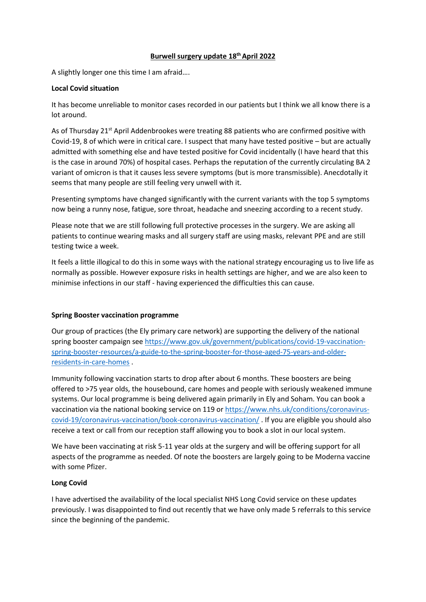# **Burwell surgery update 18th April 2022**

A slightly longer one this time I am afraid….

# **Local Covid situation**

It has become unreliable to monitor cases recorded in our patients but I think we all know there is a lot around.

As of Thursday 21<sup>st</sup> April Addenbrookes were treating 88 patients who are confirmed positive with Covid-19, 8 of which were in critical care. I suspect that many have tested positive – but are actually admitted with something else and have tested positive for Covid incidentally (I have heard that this is the case in around 70%) of hospital cases. Perhaps the reputation of the currently circulating BA 2 variant of omicron is that it causes less severe symptoms (but is more transmissible). Anecdotally it seems that many people are still feeling very unwell with it.

Presenting symptoms have changed significantly with the current variants with the top 5 symptoms now being a runny nose, fatigue, sore throat, headache and sneezing according to a recent study.

Please note that we are still following full protective processes in the surgery. We are asking all patients to continue wearing masks and all surgery staff are using masks, relevant PPE and are still testing twice a week.

It feels a little illogical to do this in some ways with the national strategy encouraging us to live life as normally as possible. However exposure risks in health settings are higher, and we are also keen to minimise infections in our staff - having experienced the difficulties this can cause.

# **Spring Booster vaccination programme**

Our group of practices (the Ely primary care network) are supporting the delivery of the national spring booster campaign se[e https://www.gov.uk/government/publications/covid-19-vaccination](https://www.gov.uk/government/publications/covid-19-vaccination-spring-booster-resources/a-guide-to-the-spring-booster-for-those-aged-75-years-and-older-residents-in-care-homes)[spring-booster-resources/a-guide-to-the-spring-booster-for-those-aged-75-years-and-older](https://www.gov.uk/government/publications/covid-19-vaccination-spring-booster-resources/a-guide-to-the-spring-booster-for-those-aged-75-years-and-older-residents-in-care-homes)[residents-in-care-homes](https://www.gov.uk/government/publications/covid-19-vaccination-spring-booster-resources/a-guide-to-the-spring-booster-for-those-aged-75-years-and-older-residents-in-care-homes) .

Immunity following vaccination starts to drop after about 6 months. These boosters are being offered to >75 year olds, the housebound, care homes and people with seriously weakened immune systems. Our local programme is being delivered again primarily in Ely and Soham. You can book a vaccination via the national booking service on 119 o[r https://www.nhs.uk/conditions/coronavirus](https://www.nhs.uk/conditions/coronavirus-covid-19/coronavirus-vaccination/book-coronavirus-vaccination/)[covid-19/coronavirus-vaccination/book-coronavirus-vaccination/](https://www.nhs.uk/conditions/coronavirus-covid-19/coronavirus-vaccination/book-coronavirus-vaccination/) . If you are eligible you should also receive a text or call from our reception staff allowing you to book a slot in our local system.

We have been vaccinating at risk 5-11 year olds at the surgery and will be offering support for all aspects of the programme as needed. Of note the boosters are largely going to be Moderna vaccine with some Pfizer.

## **Long Covid**

I have advertised the availability of the local specialist NHS Long Covid service on these updates previously. I was disappointed to find out recently that we have only made 5 referrals to this service since the beginning of the pandemic.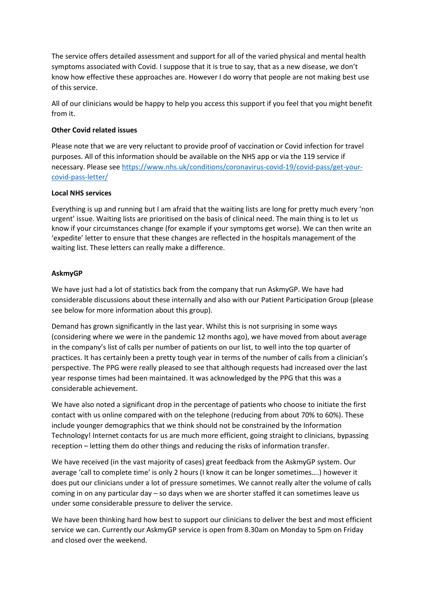The service offers detailed assessment and support for all of the varied physical and mental health symptoms associated with Covid. I suppose that it is true to say, that as a new disease, we don't know how effective these approaches are. However I do worry that people are not making best use of this service.

All of our clinicians would be happy to help you access this support if you feel that you might benefit from it.

#### **Other Covid related issues**

Please note that we are very reluctant to provide proof of vaccination or Covid infection for travel purposes. All of this information should be available on the NHS app or via the 119 service if necessary. Please see [https://www.nhs.uk/conditions/coronavirus-covid-19/covid-pass/get-your](https://www.nhs.uk/conditions/coronavirus-covid-19/covid-pass/get-your-covid-pass-letter/)[covid-pass-letter/](https://www.nhs.uk/conditions/coronavirus-covid-19/covid-pass/get-your-covid-pass-letter/)

#### **Local NHS services**

Everything is up and running but I am afraid that the waiting lists are long for pretty much every 'non urgent' issue. Waiting lists are prioritised on the basis of clinical need. The main thing is to let us know if your circumstances change (for example if your symptoms get worse). We can then write an 'expedite' letter to ensure that these changes are reflected in the hospitals management of the waiting list. These letters can really make a difference.

#### **AskmyGP**

We have just had a lot of statistics back from the company that run AskmyGP. We have had considerable discussions about these internally and also with our Patient Participation Group (please see below for more information about this group).

Demand has grown significantly in the last year. Whilst this is not surprising in some ways (considering where we were in the pandemic 12 months ago), we have moved from about average in the company's list of calls per number of patients on our list, to well into the top quarter of practices. It has certainly been a pretty tough year in terms of the number of calls from a clinician's perspective. The PPG were really pleased to see that although requests had increased over the last year response times had been maintained. It was acknowledged by the PPG that this was a considerable achievement.

We have also noted a significant drop in the percentage of patients who choose to initiate the first contact with us online compared with on the telephone (reducing from about 70% to 60%). These include younger demographics that we think should not be constrained by the Information Technology! Internet contacts for us are much more efficient, going straight to clinicians, bypassing reception – letting them do other things and reducing the risks of information transfer.

We have received (in the vast majority of cases) great feedback from the AskmyGP system. Our average 'call to complete time' is only 2 hours (I know it can be longer sometimes….) however it does put our clinicians under a lot of pressure sometimes. We cannot really alter the volume of calls coming in on any particular day – so days when we are shorter staffed it can sometimes leave us under some considerable pressure to deliver the service.

We have been thinking hard how best to support our clinicians to deliver the best and most efficient service we can. Currently our AskmyGP service is open from 8.30am on Monday to 5pm on Friday and closed over the weekend.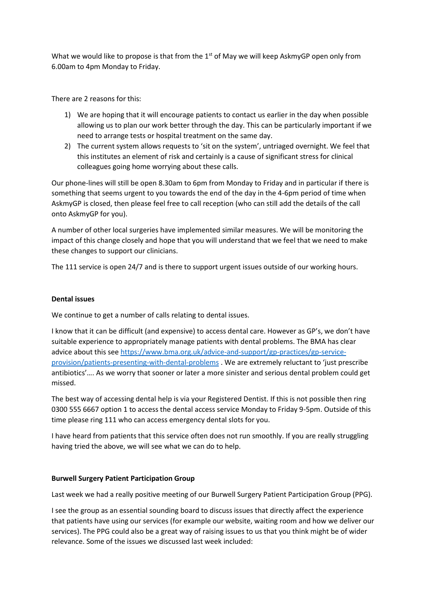What we would like to propose is that from the  $1<sup>st</sup>$  of May we will keep AskmyGP open only from 6.00am to 4pm Monday to Friday.

There are 2 reasons for this:

- 1) We are hoping that it will encourage patients to contact us earlier in the day when possible allowing us to plan our work better through the day. This can be particularly important if we need to arrange tests or hospital treatment on the same day.
- 2) The current system allows requests to 'sit on the system', untriaged overnight. We feel that this institutes an element of risk and certainly is a cause of significant stress for clinical colleagues going home worrying about these calls.

Our phone-lines will still be open 8.30am to 6pm from Monday to Friday and in particular if there is something that seems urgent to you towards the end of the day in the 4-6pm period of time when AskmyGP is closed, then please feel free to call reception (who can still add the details of the call onto AskmyGP for you).

A number of other local surgeries have implemented similar measures. We will be monitoring the impact of this change closely and hope that you will understand that we feel that we need to make these changes to support our clinicians.

The 111 service is open 24/7 and is there to support urgent issues outside of our working hours.

# **Dental issues**

We continue to get a number of calls relating to dental issues.

I know that it can be difficult (and expensive) to access dental care. However as GP's, we don't have suitable experience to appropriately manage patients with dental problems. The BMA has clear advice about this se[e https://www.bma.org.uk/advice-and-support/gp-practices/gp-service](https://www.bma.org.uk/advice-and-support/gp-practices/gp-service-provision/patients-presenting-with-dental-problems)[provision/patients-presenting-with-dental-problems](https://www.bma.org.uk/advice-and-support/gp-practices/gp-service-provision/patients-presenting-with-dental-problems) . We are extremely reluctant to 'just prescribe antibiotics'…. As we worry that sooner or later a more sinister and serious dental problem could get missed.

The best way of accessing dental help is via your Registered Dentist. If this is not possible then ring 0300 555 6667 option 1 to access the dental access service Monday to Friday 9-5pm. Outside of this time please ring 111 who can access emergency dental slots for you.

I have heard from patients that this service often does not run smoothly. If you are really struggling having tried the above, we will see what we can do to help.

## **Burwell Surgery Patient Participation Group**

Last week we had a really positive meeting of our Burwell Surgery Patient Participation Group (PPG).

I see the group as an essential sounding board to discuss issues that directly affect the experience that patients have using our services (for example our website, waiting room and how we deliver our services). The PPG could also be a great way of raising issues to us that you think might be of wider relevance. Some of the issues we discussed last week included: